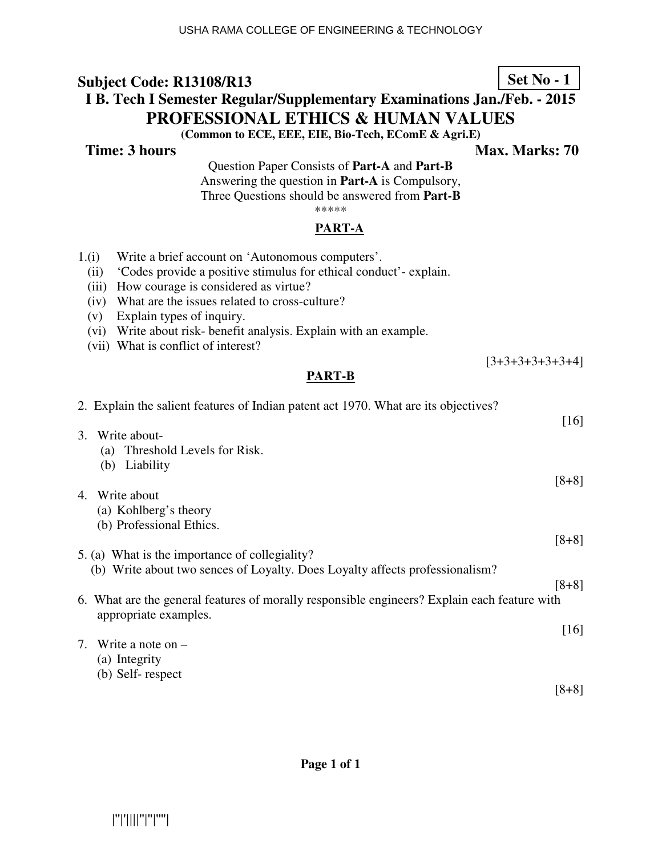## **Set No - 1**

## **I B. Tech I Semester Regular/Supplementary Examinations Jan./Feb. - 2015 PROFESSIONAL ETHICS & HUMAN VALUES**

**(Common to ECE, EEE, EIE, Bio-Tech, EComE & Agri.E)**

**Time: 3 hours** Max. Marks: 70

 $[3+3+3+3+3+3+4]$ 

Question Paper Consists of **Part-A** and **Part-B** Answering the question in **Part-A** is Compulsory, Three Questions should be answered from **Part-B** \*\*\*\*\*

# **PART-A**

- 1.(i) Write a brief account on 'Autonomous computers'.
	- (ii) 'Codes provide a positive stimulus for ethical conduct'- explain.
	- (iii) How courage is considered as virtue?
	- (iv) What are the issues related to cross-culture?
	- (v) Explain types of inquiry.
	- (vi) Write about risk- benefit analysis. Explain with an example.
	- (vii) What is conflict of interest?

#### **PART-B**

|    | 2. Explain the salient features of Indian patent act 1970. What are its objectives?                                   | [16]    |
|----|-----------------------------------------------------------------------------------------------------------------------|---------|
| 3. | Write about-                                                                                                          |         |
|    | (a) Threshold Levels for Risk.                                                                                        |         |
|    | (b) Liability                                                                                                         |         |
|    |                                                                                                                       | $[8+8]$ |
| 4. | Write about                                                                                                           |         |
|    | (a) Kohlberg's theory                                                                                                 |         |
|    | (b) Professional Ethics.                                                                                              |         |
|    |                                                                                                                       | $[8+8]$ |
|    | 5. (a) What is the importance of collegiality?                                                                        |         |
|    | (b) Write about two sences of Loyalty. Does Loyalty affects professionalism?                                          |         |
|    |                                                                                                                       | $[8+8]$ |
|    | 6. What are the general features of morally responsible engineers? Explain each feature with<br>appropriate examples. |         |
|    |                                                                                                                       | $[16]$  |
|    | 7. Write a note on $-$                                                                                                |         |
|    | (a) Integrity                                                                                                         |         |
|    | (b) Self-respect                                                                                                      |         |
|    |                                                                                                                       | $[8+8]$ |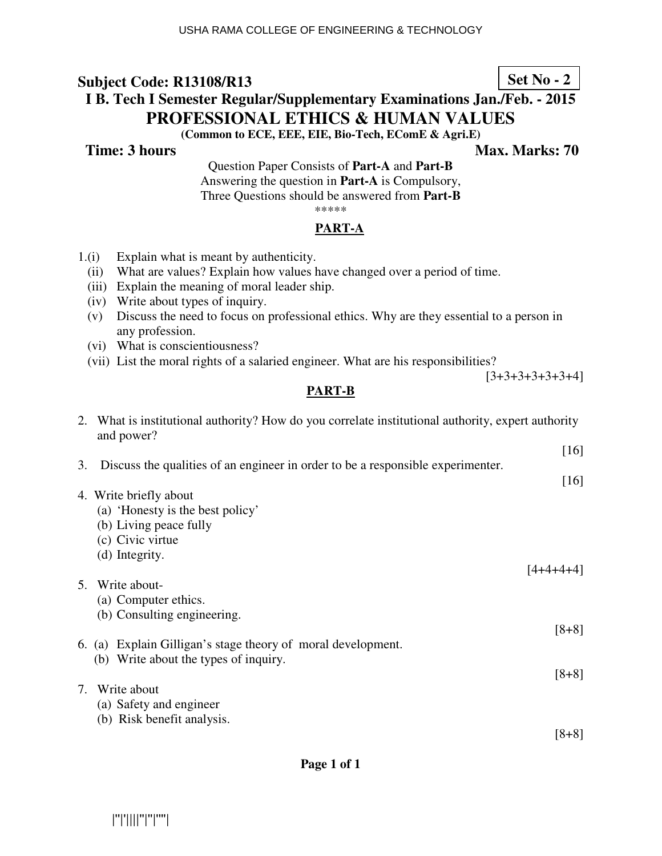## **I B. Tech I Semester Regular/Supplementary Examinations Jan./Feb. - 2015 PROFESSIONAL ETHICS & HUMAN VALUES**

**(Common to ECE, EEE, EIE, Bio-Tech, EComE & Agri.E)**

**Time: 3 hours Max. Marks: 70 Max. Marks: 70** 

Question Paper Consists of **Part-A** and **Part-B** Answering the question in **Part-A** is Compulsory, Three Questions should be answered from **Part-B**

\*\*\*\*\*

#### **PART-A**

- 1.(i) Explain what is meant by authenticity.
	- (ii) What are values? Explain how values have changed over a period of time.
	- (iii) Explain the meaning of moral leader ship.
	- (iv) Write about types of inquiry.
	- (v) Discuss the need to focus on professional ethics. Why are they essential to a person in any profession.
	- (vi) What is conscientiousness?
	- (vii) List the moral rights of a salaried engineer. What are his responsibilities?

 $[3+3+3+3+3+3+4]$ 

## **PART-B**

2. What is institutional authority? How do you correlate institutional authority, expert authority

|    | 2. What is institutional authority? How do you correlate institutional authority, expert authority<br>and power? |           |
|----|------------------------------------------------------------------------------------------------------------------|-----------|
|    |                                                                                                                  | $[16]$    |
| 3. | Discuss the qualities of an engineer in order to be a responsible experimenter.                                  | [16]      |
|    | 4. Write briefly about                                                                                           |           |
|    | (a) 'Honesty is the best policy'                                                                                 |           |
|    | (b) Living peace fully                                                                                           |           |
|    | (c) Civic virtue                                                                                                 |           |
|    | (d) Integrity.                                                                                                   |           |
| 5. | Write about-                                                                                                     | [4+4+4+4] |
|    | (a) Computer ethics.                                                                                             |           |
|    | (b) Consulting engineering.                                                                                      |           |
|    |                                                                                                                  | $[8+8]$   |
|    | 6. (a) Explain Gilligan's stage theory of moral development.                                                     |           |
|    | (b) Write about the types of inquiry.                                                                            |           |
| 7. | Write about                                                                                                      | $[8+8]$   |
|    | (a) Safety and engineer                                                                                          |           |
|    | (b) Risk benefit analysis.                                                                                       |           |
|    |                                                                                                                  | $[8+8]$   |
|    |                                                                                                                  |           |

**Set No - 2**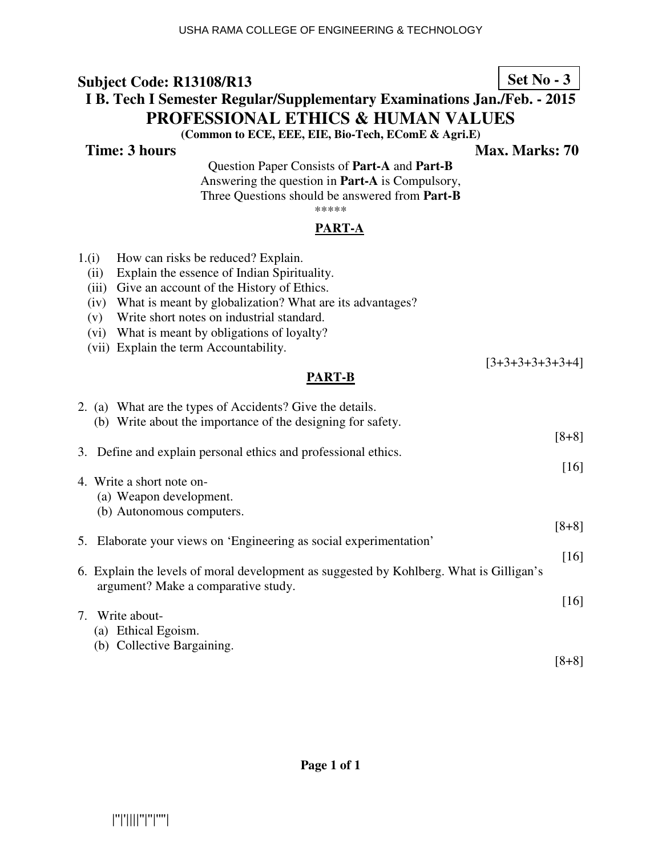## **Set No - 3**

## **I B. Tech I Semester Regular/Supplementary Examinations Jan./Feb. - 2015 PROFESSIONAL ETHICS & HUMAN VALUES**

**(Common to ECE, EEE, EIE, Bio-Tech, EComE & Agri.E)**

**Time: 3 hours** Max. Marks: 70

[3+3+3+3+3+3+4]

Question Paper Consists of **Part-A** and **Part-B** Answering the question in **Part-A** is Compulsory, Three Questions should be answered from **Part-B**

## \*\*\*\*\*

#### **PART-A**

- 1.(i) How can risks be reduced? Explain.
	- (ii) Explain the essence of Indian Spirituality.
	- (iii) Give an account of the History of Ethics.
	- (iv) What is meant by globalization? What are its advantages?
	- (v) Write short notes on industrial standard.
	- (vi) What is meant by obligations of loyalty?
	- (vii) Explain the term Accountability.

#### **PART-B**

|    | 2. (a) What are the types of Accidents? Give the details.<br>(b) Write about the importance of the designing for safety.       |                    |
|----|--------------------------------------------------------------------------------------------------------------------------------|--------------------|
|    | 3. Define and explain personal ethics and professional ethics.                                                                 | $[8+8]$            |
|    | 4. Write a short note on-<br>(a) Weapon development.                                                                           | $\lceil 16 \rceil$ |
|    | (b) Autonomous computers.                                                                                                      | $[8+8]$            |
| 5. | Elaborate your views on 'Engineering as social experimentation'                                                                | [16]               |
|    | 6. Explain the levels of moral development as suggested by Kohlberg. What is Gilligan's<br>argument? Make a comparative study. |                    |
|    | 7. Write about-                                                                                                                | [16]               |
|    | (a) Ethical Egoism.<br>(b) Collective Bargaining.                                                                              | [8+8]              |